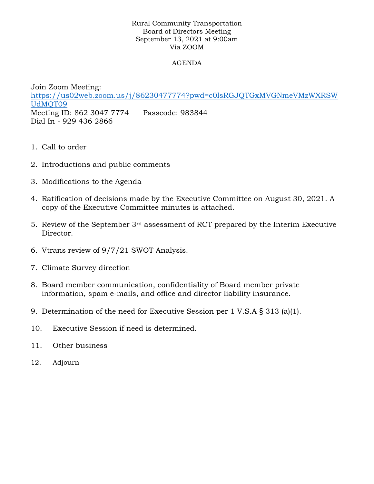## Rural Community Transportation Board of Directors Meeting September 13, 2021 at 9:00am Via ZOOM

## AGENDA

Join Zoom Meeting: [https://us02web.zoom.us/j/86230477774?pwd=c0lsRGJQTGxMVGNmeVMzWXRSW](https://na01.safelinks.protection.outlook.com/?url=https%3A%2F%2Fus02web.zoom.us%2Fj%2F86230477774%3Fpwd%3Dc0lsRGJQTGxMVGNmeVMzWXRSWUdMQT09&data=04%7C01%7C%7C1599b2b9ff334400274a08d972d66414%7C84df9e7fe9f640afb435aaaaaaaaaaaa%7C1%7C0%7C637667087389194176%7CUnknown%7CTWFpbGZsb3d8eyJWIjoiMC4wLjAwMDAiLCJQIjoiV2luMzIiLCJBTiI6Ik1haWwiLCJXVCI6Mn0%3D%7C1000&sdata=c%2Bch4fRVc7KdLST7e%2FoRzhyy1H1XL3AWmyxDT0lNPag%3D&reserved=0) [UdMQT09](https://na01.safelinks.protection.outlook.com/?url=https%3A%2F%2Fus02web.zoom.us%2Fj%2F86230477774%3Fpwd%3Dc0lsRGJQTGxMVGNmeVMzWXRSWUdMQT09&data=04%7C01%7C%7C1599b2b9ff334400274a08d972d66414%7C84df9e7fe9f640afb435aaaaaaaaaaaa%7C1%7C0%7C637667087389194176%7CUnknown%7CTWFpbGZsb3d8eyJWIjoiMC4wLjAwMDAiLCJQIjoiV2luMzIiLCJBTiI6Ik1haWwiLCJXVCI6Mn0%3D%7C1000&sdata=c%2Bch4fRVc7KdLST7e%2FoRzhyy1H1XL3AWmyxDT0lNPag%3D&reserved=0) Meeting ID: 862 3047 7774 Passcode: 983844 Dial In - 929 436 2866

- 1. Call to order
- 2. Introductions and public comments
- 3. Modifications to the Agenda
- 4. Ratification of decisions made by the Executive Committee on August 30, 2021. A copy of the Executive Committee minutes is attached.
- 5. Review of the September 3rd assessment of RCT prepared by the Interim Executive Director.
- 6. Vtrans review of 9/7/21 SWOT Analysis.
- 7. Climate Survey direction
- 8. Board member communication, confidentiality of Board member private information, spam e-mails, and office and director liability insurance.
- 9. Determination of the need for Executive Session per 1 V.S.A § 313 (a)(1).
- 10. Executive Session if need is determined.
- 11. Other business
- 12. Adjourn